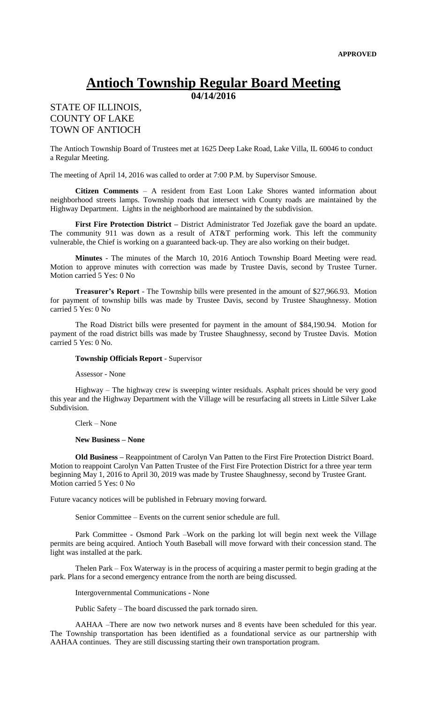## **Antioch Township Regular Board Meeting**

**04/14/2016**

## STATE OF ILLINOIS, COUNTY OF LAKE TOWN OF ANTIOCH

The Antioch Township Board of Trustees met at 1625 Deep Lake Road, Lake Villa, IL 60046 to conduct a Regular Meeting.

The meeting of April 14, 2016 was called to order at 7:00 P.M. by Supervisor Smouse.

**Citizen Comments** – A resident from East Loon Lake Shores wanted information about neighborhood streets lamps. Township roads that intersect with County roads are maintained by the Highway Department. Lights in the neighborhood are maintained by the subdivision.

**First Fire Protection District –** District Administrator Ted Jozefiak gave the board an update. The community 911 was down as a result of AT&T performing work. This left the community vulnerable, the Chief is working on a guaranteed back-up. They are also working on their budget.

**Minutes** - The minutes of the March 10, 2016 Antioch Township Board Meeting were read. Motion to approve minutes with correction was made by Trustee Davis, second by Trustee Turner. Motion carried 5 Yes: 0 No

**Treasurer's Report** - The Township bills were presented in the amount of \$27,966.93. Motion for payment of township bills was made by Trustee Davis, second by Trustee Shaughnessy. Motion carried 5 Yes: 0 No

The Road District bills were presented for payment in the amount of \$84,190.94. Motion for payment of the road district bills was made by Trustee Shaughnessy, second by Trustee Davis. Motion carried 5 Yes: 0 No.

## **Township Officials Report** - Supervisor

Assessor - None

Highway – The highway crew is sweeping winter residuals. Asphalt prices should be very good this year and the Highway Department with the Village will be resurfacing all streets in Little Silver Lake Subdivision.

Clerk – None

## **New Business – None**

**Old Business –** Reappointment of Carolyn Van Patten to the First Fire Protection District Board. Motion to reappoint Carolyn Van Patten Trustee of the First Fire Protection District for a three year term beginning May 1, 2016 to April 30, 2019 was made by Trustee Shaughnessy, second by Trustee Grant. Motion carried 5 Yes: 0 No

Future vacancy notices will be published in February moving forward.

Senior Committee – Events on the current senior schedule are full.

Park Committee - Osmond Park –Work on the parking lot will begin next week the Village permits are being acquired. Antioch Youth Baseball will move forward with their concession stand. The light was installed at the park.

Thelen Park – Fox Waterway is in the process of acquiring a master permit to begin grading at the park. Plans for a second emergency entrance from the north are being discussed.

Intergovernmental Communications - None

Public Safety – The board discussed the park tornado siren.

AAHAA –There are now two network nurses and 8 events have been scheduled for this year. The Township transportation has been identified as a foundational service as our partnership with AAHAA continues. They are still discussing starting their own transportation program.